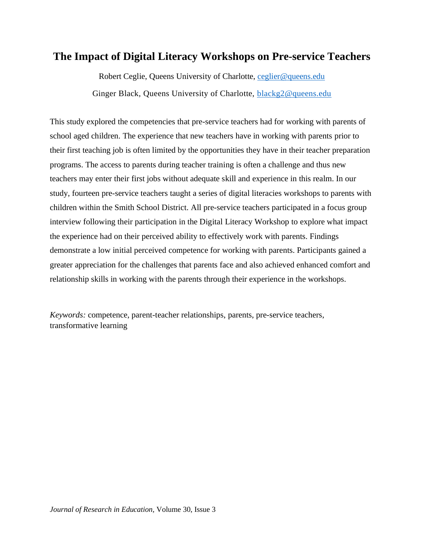# **The Impact of Digital Literacy Workshops on Pre-service Teachers**

Robert Ceglie, Queens University of Charlotte, [ceglier@queens.edu](mailto:ceglier@queens.edu) Ginger Black, Queens University of Charlotte, **blackg2@queens.edu** 

This study explored the competencies that pre-service teachers had for working with parents of school aged children. The experience that new teachers have in working with parents prior to their first teaching job is often limited by the opportunities they have in their teacher preparation programs. The access to parents during teacher training is often a challenge and thus new teachers may enter their first jobs without adequate skill and experience in this realm. In our study, fourteen pre-service teachers taught a series of digital literacies workshops to parents with children within the Smith School District. All pre-service teachers participated in a focus group interview following their participation in the Digital Literacy Workshop to explore what impact the experience had on their perceived ability to effectively work with parents. Findings demonstrate a low initial perceived competence for working with parents. Participants gained a greater appreciation for the challenges that parents face and also achieved enhanced comfort and relationship skills in working with the parents through their experience in the workshops.

*Keywords:* competence, parent-teacher relationships, parents, pre-service teachers, transformative learning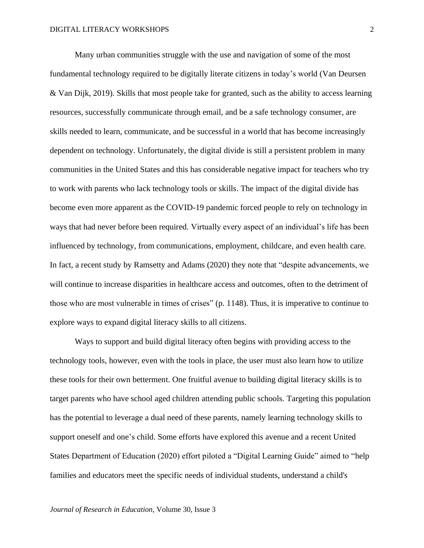Many urban communities struggle with the use and navigation of some of the most fundamental technology required to be digitally literate citizens in today's world (Van Deursen & Van Dijk, 2019). Skills that most people take for granted, such as the ability to access learning resources, successfully communicate through email, and be a safe technology consumer, are skills needed to learn, communicate, and be successful in a world that has become increasingly dependent on technology. Unfortunately, the digital divide is still a persistent problem in many communities in the United States and this has considerable negative impact for teachers who try to work with parents who lack technology tools or skills. The impact of the digital divide has become even more apparent as the COVID-19 pandemic forced people to rely on technology in ways that had never before been required. Virtually every aspect of an individual's life has been influenced by technology, from communications, employment, childcare, and even health care. In fact, a recent study by Ramsetty and Adams (2020) they note that "despite advancements, we will continue to increase disparities in healthcare access and outcomes, often to the detriment of those who are most vulnerable in times of crises" (p. 1148). Thus, it is imperative to continue to explore ways to expand digital literacy skills to all citizens.

Ways to support and build digital literacy often begins with providing access to the technology tools, however, even with the tools in place, the user must also learn how to utilize these tools for their own betterment. One fruitful avenue to building digital literacy skills is to target parents who have school aged children attending public schools. Targeting this population has the potential to leverage a dual need of these parents, namely learning technology skills to support oneself and one's child. Some efforts have explored this avenue and a recent United States Department of Education (2020) effort piloted a "Digital Learning Guide" aimed to "help families and educators meet the specific needs of individual students, understand a child's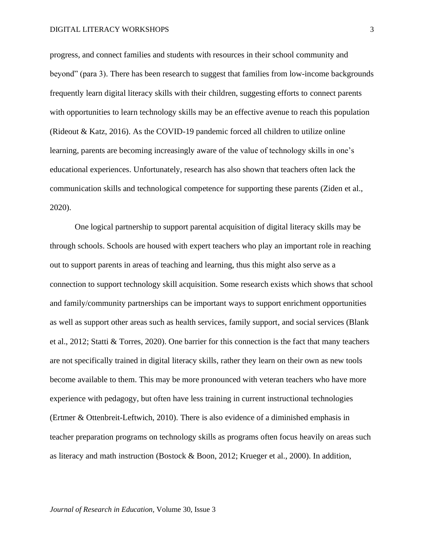#### DIGITAL LITERACY WORKSHOPS

progress, and connect families and students with resources in their school community and beyond" (para 3). There has been research to suggest that families from low-income backgrounds frequently learn digital literacy skills with their children, suggesting efforts to connect parents with opportunities to learn technology skills may be an effective avenue to reach this population (Rideout & Katz, 2016). As the COVID-19 pandemic forced all children to utilize online learning, parents are becoming increasingly aware of the value of technology skills in one's educational experiences. Unfortunately, research has also shown that teachers often lack the communication skills and technological competence for supporting these parents (Ziden et al., 2020).

One logical partnership to support parental acquisition of digital literacy skills may be through schools. Schools are housed with expert teachers who play an important role in reaching out to support parents in areas of teaching and learning, thus this might also serve as a connection to support technology skill acquisition. Some research exists which shows that school and family/community partnerships can be important ways to support enrichment opportunities as well as support other areas such as health services, family support, and social services (Blank et al., 2012; Statti & Torres, 2020). One barrier for this connection is the fact that many teachers are not specifically trained in digital literacy skills, rather they learn on their own as new tools become available to them. This may be more pronounced with veteran teachers who have more experience with pedagogy, but often have less training in current instructional technologies (Ertmer & Ottenbreit-Leftwich, 2010). There is also evidence of a diminished emphasis in teacher preparation programs on technology skills as programs often focus heavily on areas such as literacy and math instruction (Bostock & Boon, 2012; Krueger et al., 2000). In addition,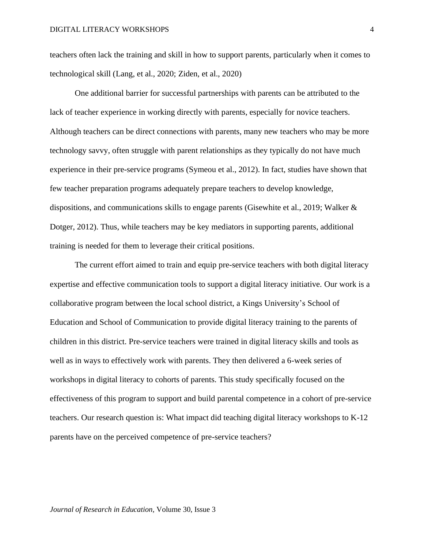teachers often lack the training and skill in how to support parents, particularly when it comes to technological skill (Lang, et al., 2020; Ziden, et al., 2020)

One additional barrier for successful partnerships with parents can be attributed to the lack of teacher experience in working directly with parents, especially for novice teachers. Although teachers can be direct connections with parents, many new teachers who may be more technology savvy, often struggle with parent relationships as they typically do not have much experience in their pre-service programs (Symeou et al., 2012). In fact, studies have shown that few teacher preparation programs adequately prepare teachers to develop knowledge, dispositions, and communications skills to engage parents (Gisewhite et al., 2019; Walker & Dotger, 2012). Thus, while teachers may be key mediators in supporting parents, additional training is needed for them to leverage their critical positions.

The current effort aimed to train and equip pre-service teachers with both digital literacy expertise and effective communication tools to support a digital literacy initiative. Our work is a collaborative program between the local school district, a Kings University's School of Education and School of Communication to provide digital literacy training to the parents of children in this district. Pre-service teachers were trained in digital literacy skills and tools as well as in ways to effectively work with parents. They then delivered a 6-week series of workshops in digital literacy to cohorts of parents. This study specifically focused on the effectiveness of this program to support and build parental competence in a cohort of pre-service teachers. Our research question is: What impact did teaching digital literacy workshops to K-12 parents have on the perceived competence of pre-service teachers?

*Journal of Research in Education,* Volume 30, Issue 3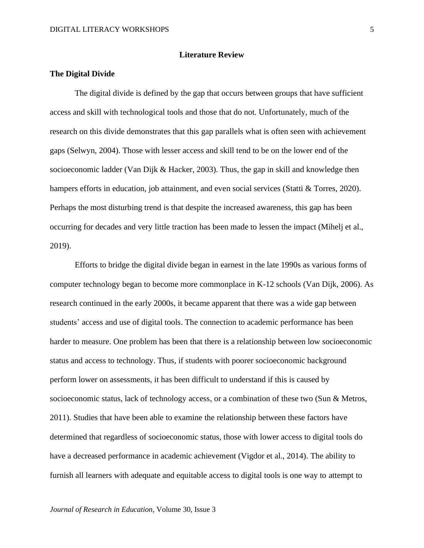## **Literature Review**

# **The Digital Divide**

The digital divide is defined by the gap that occurs between groups that have sufficient access and skill with technological tools and those that do not. Unfortunately, much of the research on this divide demonstrates that this gap parallels what is often seen with achievement gaps (Selwyn, 2004). Those with lesser access and skill tend to be on the lower end of the socioeconomic ladder (Van Dijk & Hacker, 2003). Thus, the gap in skill and knowledge then hampers efforts in education, job attainment, and even social services (Statti & Torres, 2020). Perhaps the most disturbing trend is that despite the increased awareness, this gap has been occurring for decades and very little traction has been made to lessen the impact (Mihelj et al., 2019).

Efforts to bridge the digital divide began in earnest in the late 1990s as various forms of computer technology began to become more commonplace in K-12 schools (Van Dijk, 2006). As research continued in the early 2000s, it became apparent that there was a wide gap between students' access and use of digital tools. The connection to academic performance has been harder to measure. One problem has been that there is a relationship between low socioeconomic status and access to technology. Thus, if students with poorer socioeconomic background perform lower on assessments, it has been difficult to understand if this is caused by socioeconomic status, lack of technology access, or a combination of these two (Sun & Metros, 2011). Studies that have been able to examine the relationship between these factors have determined that regardless of socioeconomic status, those with lower access to digital tools do have a decreased performance in academic achievement (Vigdor et al., 2014). The ability to furnish all learners with adequate and equitable access to digital tools is one way to attempt to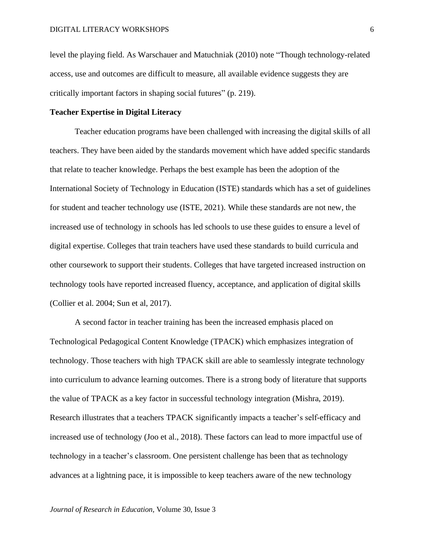level the playing field. As Warschauer and Matuchniak (2010) note "Though technology-related access, use and outcomes are difficult to measure, all available evidence suggests they are critically important factors in shaping social futures" (p. 219).

# **Teacher Expertise in Digital Literacy**

Teacher education programs have been challenged with increasing the digital skills of all teachers. They have been aided by the standards movement which have added specific standards that relate to teacher knowledge. Perhaps the best example has been the adoption of the International Society of Technology in Education (ISTE) standards which has a set of guidelines for student and teacher technology use (ISTE, 2021). While these standards are not new, the increased use of technology in schools has led schools to use these guides to ensure a level of digital expertise. Colleges that train teachers have used these standards to build curricula and other coursework to support their students. Colleges that have targeted increased instruction on technology tools have reported increased fluency, acceptance, and application of digital skills (Collier et al. 2004; Sun et al, 2017).

A second factor in teacher training has been the increased emphasis placed on Technological Pedagogical Content Knowledge (TPACK) which emphasizes integration of technology. Those teachers with high TPACK skill are able to seamlessly integrate technology into curriculum to advance learning outcomes. There is a strong body of literature that supports the value of TPACK as a key factor in successful technology integration (Mishra, 2019). Research illustrates that a teachers TPACK significantly impacts a teacher's self-efficacy and increased use of technology (Joo et al., 2018). These factors can lead to more impactful use of technology in a teacher's classroom. One persistent challenge has been that as technology advances at a lightning pace, it is impossible to keep teachers aware of the new technology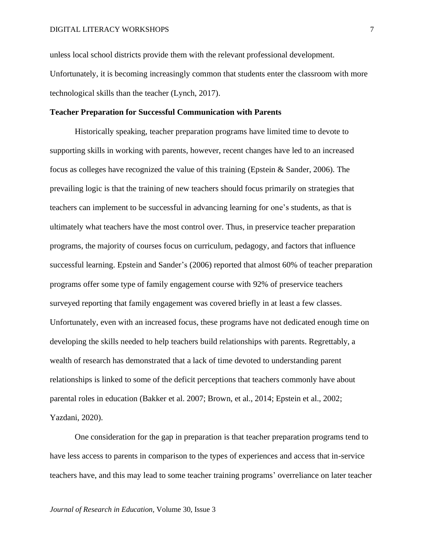unless local school districts provide them with the relevant professional development. Unfortunately, it is becoming increasingly common that students enter the classroom with more technological skills than the teacher (Lynch, 2017).

# **Teacher Preparation for Successful Communication with Parents**

Historically speaking, teacher preparation programs have limited time to devote to supporting skills in working with parents, however, recent changes have led to an increased focus as colleges have recognized the value of this training (Epstein & Sander, 2006). The prevailing logic is that the training of new teachers should focus primarily on strategies that teachers can implement to be successful in advancing learning for one's students, as that is ultimately what teachers have the most control over. Thus, in preservice teacher preparation programs, the majority of courses focus on curriculum, pedagogy, and factors that influence successful learning. Epstein and Sander's (2006) reported that almost 60% of teacher preparation programs offer some type of family engagement course with 92% of preservice teachers surveyed reporting that family engagement was covered briefly in at least a few classes. Unfortunately, even with an increased focus, these programs have not dedicated enough time on developing the skills needed to help teachers build relationships with parents. Regrettably, a wealth of research has demonstrated that a lack of time devoted to understanding parent relationships is linked to some of the deficit perceptions that teachers commonly have about parental roles in education (Bakker et al. 2007; Brown, et al., 2014; Epstein et al., 2002; Yazdani, 2020).

One consideration for the gap in preparation is that teacher preparation programs tend to have less access to parents in comparison to the types of experiences and access that in-service teachers have, and this may lead to some teacher training programs' overreliance on later teacher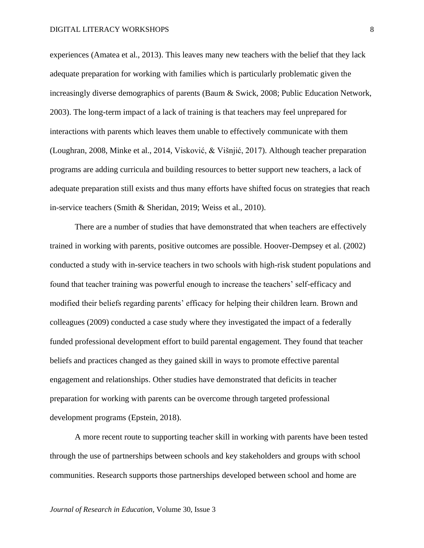experiences (Amatea et al., 2013). This leaves many new teachers with the belief that they lack adequate preparation for working with families which is particularly problematic given the increasingly diverse demographics of parents (Baum & Swick, 2008; Public Education Network, 2003). The long-term impact of a lack of training is that teachers may feel unprepared for interactions with parents which leaves them unable to effectively communicate with them (Loughran, 2008, Minke et al., 2014, Visković, & Višnjić, 2017). Although teacher preparation programs are adding curricula and building resources to better support new teachers, a lack of adequate preparation still exists and thus many efforts have shifted focus on strategies that reach in-service teachers (Smith & Sheridan, 2019; Weiss et al., 2010).

There are a number of studies that have demonstrated that when teachers are effectively trained in working with parents, positive outcomes are possible. Hoover-Dempsey et al. (2002) conducted a study with in-service teachers in two schools with high-risk student populations and found that teacher training was powerful enough to increase the teachers' self-efficacy and modified their beliefs regarding parents' efficacy for helping their children learn. Brown and colleagues (2009) conducted a case study where they investigated the impact of a federally funded professional development effort to build parental engagement. They found that teacher beliefs and practices changed as they gained skill in ways to promote effective parental engagement and relationships. Other studies have demonstrated that deficits in teacher preparation for working with parents can be overcome through targeted professional development programs (Epstein, 2018).

A more recent route to supporting teacher skill in working with parents have been tested through the use of partnerships between schools and key stakeholders and groups with school communities. Research supports those partnerships developed between school and home are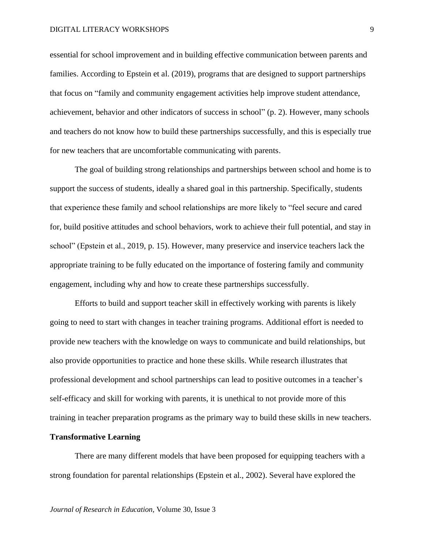#### DIGITAL LITERACY WORKSHOPS

essential for school improvement and in building effective communication between parents and families. According to Epstein et al. (2019), programs that are designed to support partnerships that focus on "family and community engagement activities help improve student attendance, achievement, behavior and other indicators of success in school" (p. 2). However, many schools and teachers do not know how to build these partnerships successfully, and this is especially true for new teachers that are uncomfortable communicating with parents.

The goal of building strong relationships and partnerships between school and home is to support the success of students, ideally a shared goal in this partnership. Specifically, students that experience these family and school relationships are more likely to "feel secure and cared for, build positive attitudes and school behaviors, work to achieve their full potential, and stay in school" (Epstein et al., 2019, p. 15). However, many preservice and inservice teachers lack the appropriate training to be fully educated on the importance of fostering family and community engagement, including why and how to create these partnerships successfully.

Efforts to build and support teacher skill in effectively working with parents is likely going to need to start with changes in teacher training programs. Additional effort is needed to provide new teachers with the knowledge on ways to communicate and build relationships, but also provide opportunities to practice and hone these skills. While research illustrates that professional development and school partnerships can lead to positive outcomes in a teacher's self-efficacy and skill for working with parents, it is unethical to not provide more of this training in teacher preparation programs as the primary way to build these skills in new teachers.

### **Transformative Learning**

There are many different models that have been proposed for equipping teachers with a strong foundation for parental relationships (Epstein et al., 2002). Several have explored the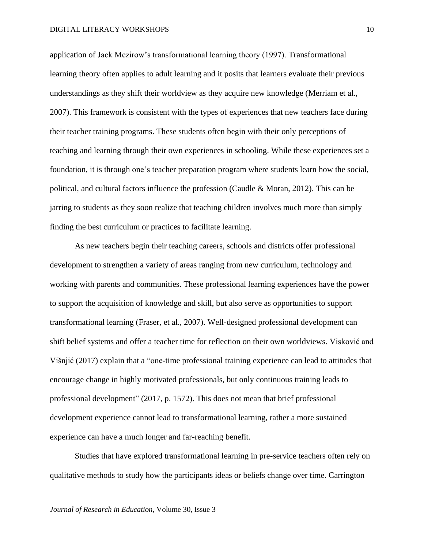application of Jack Mezirow's transformational learning theory (1997). Transformational learning theory often applies to adult learning and it posits that learners evaluate their previous understandings as they shift their worldview as they acquire new knowledge (Merriam et al., 2007). This framework is consistent with the types of experiences that new teachers face during their teacher training programs. These students often begin with their only perceptions of teaching and learning through their own experiences in schooling. While these experiences set a foundation, it is through one's teacher preparation program where students learn how the social, political, and cultural factors influence the profession (Caudle & Moran, 2012). This can be jarring to students as they soon realize that teaching children involves much more than simply finding the best curriculum or practices to facilitate learning.

As new teachers begin their teaching careers, schools and districts offer professional development to strengthen a variety of areas ranging from new curriculum, technology and working with parents and communities. These professional learning experiences have the power to support the acquisition of knowledge and skill, but also serve as opportunities to support transformational learning (Fraser, et al., 2007). Well-designed professional development can shift belief systems and offer a teacher time for reflection on their own worldviews. Visković and Višnjić (2017) explain that a "one-time professional training experience can lead to attitudes that encourage change in highly motivated professionals, but only continuous training leads to professional development" (2017, p. 1572). This does not mean that brief professional development experience cannot lead to transformational learning, rather a more sustained experience can have a much longer and far-reaching benefit.

Studies that have explored transformational learning in pre-service teachers often rely on qualitative methods to study how the participants ideas or beliefs change over time. Carrington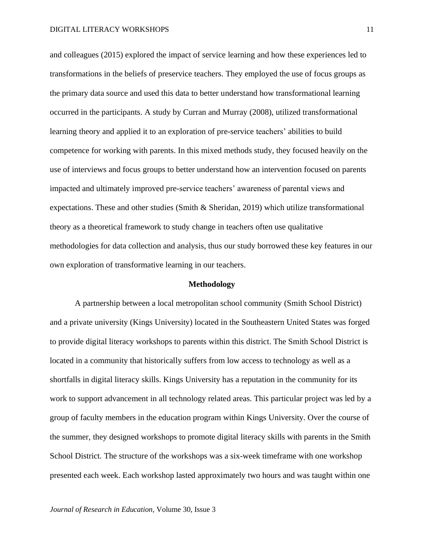and colleagues (2015) explored the impact of service learning and how these experiences led to transformations in the beliefs of preservice teachers. They employed the use of focus groups as the primary data source and used this data to better understand how transformational learning occurred in the participants. A study by Curran and Murray (2008), utilized transformational learning theory and applied it to an exploration of pre-service teachers' abilities to build competence for working with parents. In this mixed methods study, they focused heavily on the use of interviews and focus groups to better understand how an intervention focused on parents impacted and ultimately improved pre-service teachers' awareness of parental views and expectations. These and other studies (Smith & Sheridan, 2019) which utilize transformational theory as a theoretical framework to study change in teachers often use qualitative methodologies for data collection and analysis, thus our study borrowed these key features in our own exploration of transformative learning in our teachers.

### **Methodology**

A partnership between a local metropolitan school community (Smith School District) and a private university (Kings University) located in the Southeastern United States was forged to provide digital literacy workshops to parents within this district. The Smith School District is located in a community that historically suffers from low access to technology as well as a shortfalls in digital literacy skills. Kings University has a reputation in the community for its work to support advancement in all technology related areas. This particular project was led by a group of faculty members in the education program within Kings University. Over the course of the summer, they designed workshops to promote digital literacy skills with parents in the Smith School District. The structure of the workshops was a six-week timeframe with one workshop presented each week. Each workshop lasted approximately two hours and was taught within one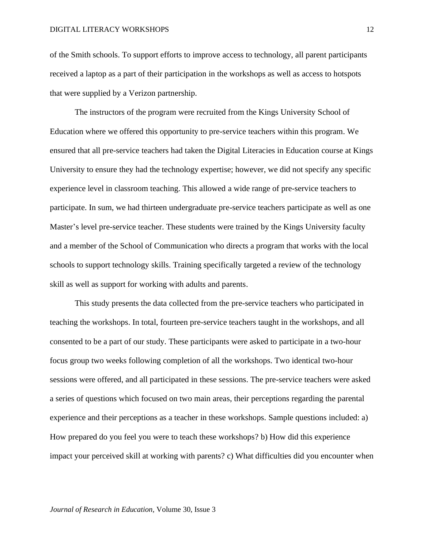#### DIGITAL LITERACY WORKSHOPS

of the Smith schools. To support efforts to improve access to technology, all parent participants received a laptop as a part of their participation in the workshops as well as access to hotspots that were supplied by a Verizon partnership.

The instructors of the program were recruited from the Kings University School of Education where we offered this opportunity to pre-service teachers within this program. We ensured that all pre-service teachers had taken the Digital Literacies in Education course at Kings University to ensure they had the technology expertise; however, we did not specify any specific experience level in classroom teaching. This allowed a wide range of pre-service teachers to participate. In sum, we had thirteen undergraduate pre-service teachers participate as well as one Master's level pre-service teacher. These students were trained by the Kings University faculty and a member of the School of Communication who directs a program that works with the local schools to support technology skills. Training specifically targeted a review of the technology skill as well as support for working with adults and parents.

This study presents the data collected from the pre-service teachers who participated in teaching the workshops. In total, fourteen pre-service teachers taught in the workshops, and all consented to be a part of our study. These participants were asked to participate in a two-hour focus group two weeks following completion of all the workshops. Two identical two-hour sessions were offered, and all participated in these sessions. The pre-service teachers were asked a series of questions which focused on two main areas, their perceptions regarding the parental experience and their perceptions as a teacher in these workshops. Sample questions included: a) How prepared do you feel you were to teach these workshops? b) How did this experience impact your perceived skill at working with parents? c) What difficulties did you encounter when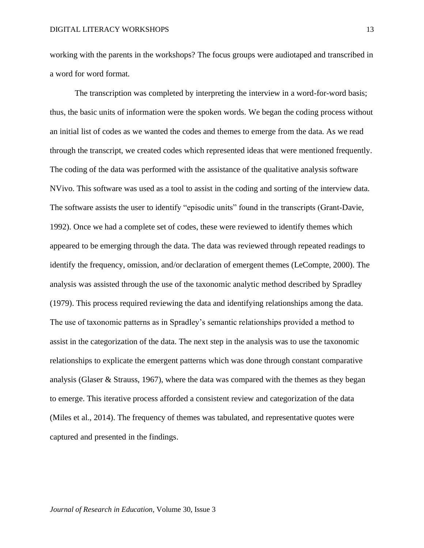working with the parents in the workshops? The focus groups were audiotaped and transcribed in a word for word format.

The transcription was completed by interpreting the interview in a word-for-word basis; thus, the basic units of information were the spoken words. We began the coding process without an initial list of codes as we wanted the codes and themes to emerge from the data. As we read through the transcript, we created codes which represented ideas that were mentioned frequently. The coding of the data was performed with the assistance of the qualitative analysis software NVivo. This software was used as a tool to assist in the coding and sorting of the interview data. The software assists the user to identify "episodic units" found in the transcripts (Grant-Davie, 1992). Once we had a complete set of codes, these were reviewed to identify themes which appeared to be emerging through the data. The data was reviewed through repeated readings to identify the frequency, omission, and/or declaration of emergent themes (LeCompte, 2000). The analysis was assisted through the use of the taxonomic analytic method described by Spradley (1979). This process required reviewing the data and identifying relationships among the data. The use of taxonomic patterns as in Spradley's semantic relationships provided a method to assist in the categorization of the data. The next step in the analysis was to use the taxonomic relationships to explicate the emergent patterns which was done through constant comparative analysis (Glaser & Strauss, 1967), where the data was compared with the themes as they began to emerge. This iterative process afforded a consistent review and categorization of the data (Miles et al., 2014). The frequency of themes was tabulated, and representative quotes were captured and presented in the findings.

13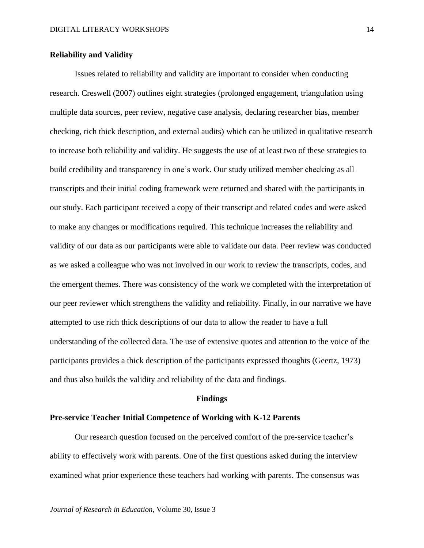# **Reliability and Validity**

Issues related to reliability and validity are important to consider when conducting research. Creswell (2007) outlines eight strategies (prolonged engagement, triangulation using multiple data sources, peer review, negative case analysis, declaring researcher bias, member checking, rich thick description, and external audits) which can be utilized in qualitative research to increase both reliability and validity. He suggests the use of at least two of these strategies to build credibility and transparency in one's work. Our study utilized member checking as all transcripts and their initial coding framework were returned and shared with the participants in our study. Each participant received a copy of their transcript and related codes and were asked to make any changes or modifications required. This technique increases the reliability and validity of our data as our participants were able to validate our data. Peer review was conducted as we asked a colleague who was not involved in our work to review the transcripts, codes, and the emergent themes. There was consistency of the work we completed with the interpretation of our peer reviewer which strengthens the validity and reliability. Finally, in our narrative we have attempted to use rich thick descriptions of our data to allow the reader to have a full understanding of the collected data. The use of extensive quotes and attention to the voice of the participants provides a thick description of the participants expressed thoughts (Geertz, 1973) and thus also builds the validity and reliability of the data and findings.

#### **Findings**

# **Pre-service Teacher Initial Competence of Working with K-12 Parents**

Our research question focused on the perceived comfort of the pre-service teacher's ability to effectively work with parents. One of the first questions asked during the interview examined what prior experience these teachers had working with parents. The consensus was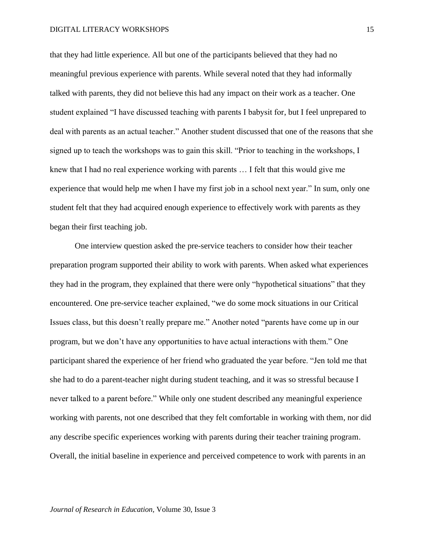#### DIGITAL LITERACY WORKSHOPS

that they had little experience. All but one of the participants believed that they had no meaningful previous experience with parents. While several noted that they had informally talked with parents, they did not believe this had any impact on their work as a teacher. One student explained "I have discussed teaching with parents I babysit for, but I feel unprepared to deal with parents as an actual teacher." Another student discussed that one of the reasons that she signed up to teach the workshops was to gain this skill. "Prior to teaching in the workshops, I knew that I had no real experience working with parents … I felt that this would give me experience that would help me when I have my first job in a school next year." In sum, only one student felt that they had acquired enough experience to effectively work with parents as they began their first teaching job.

One interview question asked the pre-service teachers to consider how their teacher preparation program supported their ability to work with parents. When asked what experiences they had in the program, they explained that there were only "hypothetical situations" that they encountered. One pre-service teacher explained, "we do some mock situations in our Critical Issues class, but this doesn't really prepare me." Another noted "parents have come up in our program, but we don't have any opportunities to have actual interactions with them." One participant shared the experience of her friend who graduated the year before. "Jen told me that she had to do a parent-teacher night during student teaching, and it was so stressful because I never talked to a parent before." While only one student described any meaningful experience working with parents, not one described that they felt comfortable in working with them, nor did any describe specific experiences working with parents during their teacher training program. Overall, the initial baseline in experience and perceived competence to work with parents in an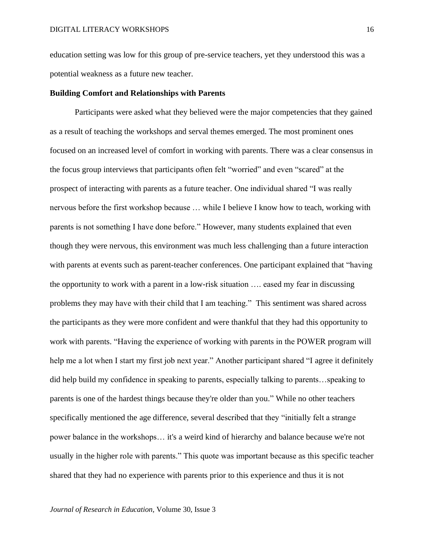education setting was low for this group of pre-service teachers, yet they understood this was a potential weakness as a future new teacher.

## **Building Comfort and Relationships with Parents**

Participants were asked what they believed were the major competencies that they gained as a result of teaching the workshops and serval themes emerged. The most prominent ones focused on an increased level of comfort in working with parents. There was a clear consensus in the focus group interviews that participants often felt "worried" and even "scared" at the prospect of interacting with parents as a future teacher. One individual shared "I was really nervous before the first workshop because … while I believe I know how to teach, working with parents is not something I have done before." However, many students explained that even though they were nervous, this environment was much less challenging than a future interaction with parents at events such as parent-teacher conferences. One participant explained that "having the opportunity to work with a parent in a low-risk situation …. eased my fear in discussing problems they may have with their child that I am teaching." This sentiment was shared across the participants as they were more confident and were thankful that they had this opportunity to work with parents. "Having the experience of working with parents in the POWER program will help me a lot when I start my first job next year." Another participant shared "I agree it definitely did help build my confidence in speaking to parents, especially talking to parents…speaking to parents is one of the hardest things because they're older than you." While no other teachers specifically mentioned the age difference, several described that they "initially felt a strange power balance in the workshops… it's a weird kind of hierarchy and balance because we're not usually in the higher role with parents." This quote was important because as this specific teacher shared that they had no experience with parents prior to this experience and thus it is not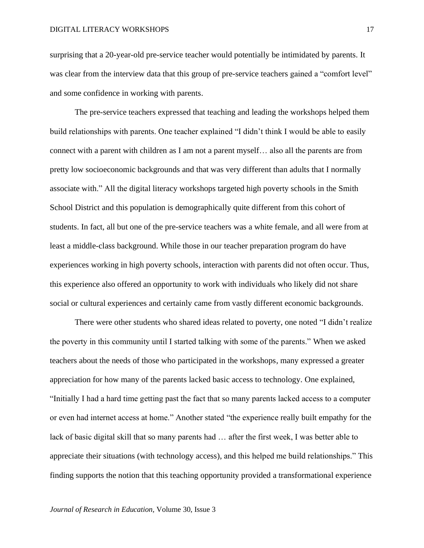surprising that a 20-year-old pre-service teacher would potentially be intimidated by parents. It was clear from the interview data that this group of pre-service teachers gained a "comfort level" and some confidence in working with parents.

The pre-service teachers expressed that teaching and leading the workshops helped them build relationships with parents. One teacher explained "I didn't think I would be able to easily connect with a parent with children as I am not a parent myself… also all the parents are from pretty low socioeconomic backgrounds and that was very different than adults that I normally associate with." All the digital literacy workshops targeted high poverty schools in the Smith School District and this population is demographically quite different from this cohort of students. In fact, all but one of the pre-service teachers was a white female, and all were from at least a middle-class background. While those in our teacher preparation program do have experiences working in high poverty schools, interaction with parents did not often occur. Thus, this experience also offered an opportunity to work with individuals who likely did not share social or cultural experiences and certainly came from vastly different economic backgrounds.

There were other students who shared ideas related to poverty, one noted "I didn't realize the poverty in this community until I started talking with some of the parents." When we asked teachers about the needs of those who participated in the workshops, many expressed a greater appreciation for how many of the parents lacked basic access to technology. One explained, "Initially I had a hard time getting past the fact that so many parents lacked access to a computer or even had internet access at home." Another stated "the experience really built empathy for the lack of basic digital skill that so many parents had … after the first week, I was better able to appreciate their situations (with technology access), and this helped me build relationships." This finding supports the notion that this teaching opportunity provided a transformational experience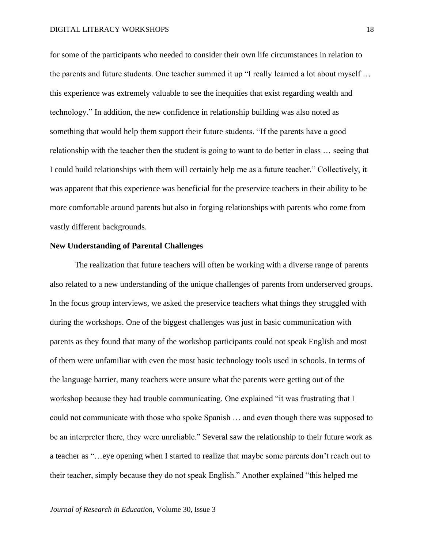for some of the participants who needed to consider their own life circumstances in relation to the parents and future students. One teacher summed it up "I really learned a lot about myself … this experience was extremely valuable to see the inequities that exist regarding wealth and technology." In addition, the new confidence in relationship building was also noted as something that would help them support their future students. "If the parents have a good relationship with the teacher then the student is going to want to do better in class … seeing that I could build relationships with them will certainly help me as a future teacher." Collectively, it was apparent that this experience was beneficial for the preservice teachers in their ability to be more comfortable around parents but also in forging relationships with parents who come from vastly different backgrounds.

## **New Understanding of Parental Challenges**

The realization that future teachers will often be working with a diverse range of parents also related to a new understanding of the unique challenges of parents from underserved groups. In the focus group interviews, we asked the preservice teachers what things they struggled with during the workshops. One of the biggest challenges was just in basic communication with parents as they found that many of the workshop participants could not speak English and most of them were unfamiliar with even the most basic technology tools used in schools. In terms of the language barrier, many teachers were unsure what the parents were getting out of the workshop because they had trouble communicating. One explained "it was frustrating that I could not communicate with those who spoke Spanish … and even though there was supposed to be an interpreter there, they were unreliable." Several saw the relationship to their future work as a teacher as "…eye opening when I started to realize that maybe some parents don't reach out to their teacher, simply because they do not speak English." Another explained "this helped me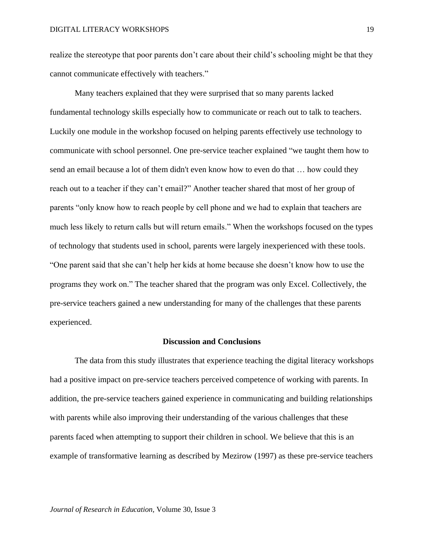realize the stereotype that poor parents don't care about their child's schooling might be that they cannot communicate effectively with teachers."

Many teachers explained that they were surprised that so many parents lacked fundamental technology skills especially how to communicate or reach out to talk to teachers. Luckily one module in the workshop focused on helping parents effectively use technology to communicate with school personnel. One pre-service teacher explained "we taught them how to send an email because a lot of them didn't even know how to even do that … how could they reach out to a teacher if they can't email?" Another teacher shared that most of her group of parents "only know how to reach people by cell phone and we had to explain that teachers are much less likely to return calls but will return emails." When the workshops focused on the types of technology that students used in school, parents were largely inexperienced with these tools. "One parent said that she can't help her kids at home because she doesn't know how to use the programs they work on." The teacher shared that the program was only Excel. Collectively, the pre-service teachers gained a new understanding for many of the challenges that these parents experienced.

## **Discussion and Conclusions**

The data from this study illustrates that experience teaching the digital literacy workshops had a positive impact on pre-service teachers perceived competence of working with parents. In addition, the pre-service teachers gained experience in communicating and building relationships with parents while also improving their understanding of the various challenges that these parents faced when attempting to support their children in school. We believe that this is an example of transformative learning as described by Mezirow (1997) as these pre-service teachers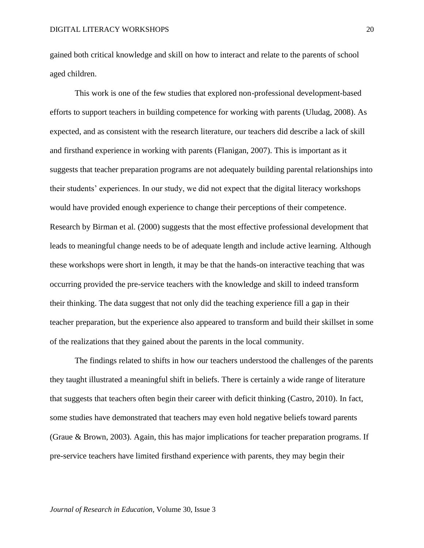gained both critical knowledge and skill on how to interact and relate to the parents of school aged children.

This work is one of the few studies that explored non-professional development-based efforts to support teachers in building competence for working with parents (Uludag, 2008). As expected, and as consistent with the research literature, our teachers did describe a lack of skill and firsthand experience in working with parents (Flanigan, 2007). This is important as it suggests that teacher preparation programs are not adequately building parental relationships into their students' experiences. In our study, we did not expect that the digital literacy workshops would have provided enough experience to change their perceptions of their competence. Research by Birman et al. (2000) suggests that the most effective professional development that leads to meaningful change needs to be of adequate length and include active learning. Although these workshops were short in length, it may be that the hands-on interactive teaching that was occurring provided the pre-service teachers with the knowledge and skill to indeed transform their thinking. The data suggest that not only did the teaching experience fill a gap in their teacher preparation, but the experience also appeared to transform and build their skillset in some of the realizations that they gained about the parents in the local community.

The findings related to shifts in how our teachers understood the challenges of the parents they taught illustrated a meaningful shift in beliefs. There is certainly a wide range of literature that suggests that teachers often begin their career with deficit thinking (Castro, 2010). In fact, some studies have demonstrated that teachers may even hold negative beliefs toward parents (Graue & Brown, 2003). Again, this has major implications for teacher preparation programs. If pre-service teachers have limited firsthand experience with parents, they may begin their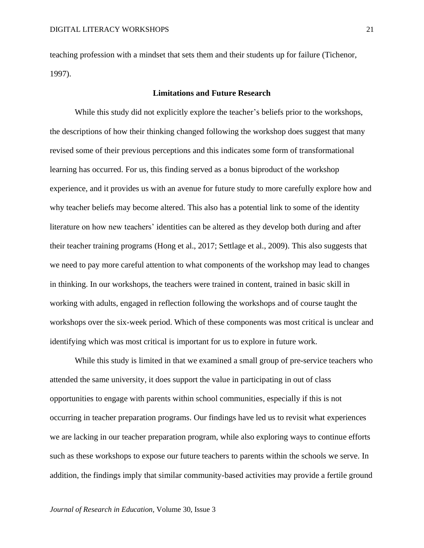teaching profession with a mindset that sets them and their students up for failure (Tichenor, 1997).

# **Limitations and Future Research**

While this study did not explicitly explore the teacher's beliefs prior to the workshops, the descriptions of how their thinking changed following the workshop does suggest that many revised some of their previous perceptions and this indicates some form of transformational learning has occurred. For us, this finding served as a bonus biproduct of the workshop experience, and it provides us with an avenue for future study to more carefully explore how and why teacher beliefs may become altered. This also has a potential link to some of the identity literature on how new teachers' identities can be altered as they develop both during and after their teacher training programs (Hong et al., 2017; Settlage et al., 2009). This also suggests that we need to pay more careful attention to what components of the workshop may lead to changes in thinking. In our workshops, the teachers were trained in content, trained in basic skill in working with adults, engaged in reflection following the workshops and of course taught the workshops over the six-week period. Which of these components was most critical is unclear and identifying which was most critical is important for us to explore in future work.

While this study is limited in that we examined a small group of pre-service teachers who attended the same university, it does support the value in participating in out of class opportunities to engage with parents within school communities, especially if this is not occurring in teacher preparation programs. Our findings have led us to revisit what experiences we are lacking in our teacher preparation program, while also exploring ways to continue efforts such as these workshops to expose our future teachers to parents within the schools we serve. In addition, the findings imply that similar community-based activities may provide a fertile ground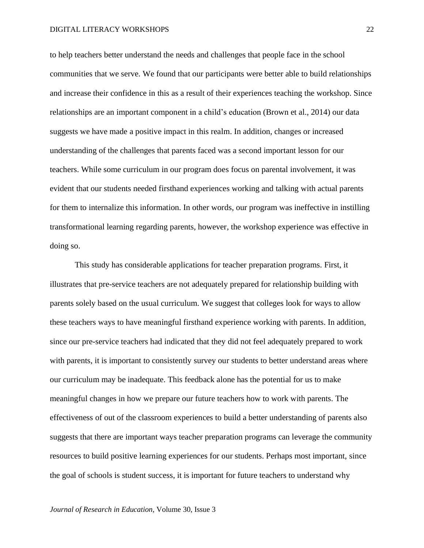#### DIGITAL LITERACY WORKSHOPS

to help teachers better understand the needs and challenges that people face in the school communities that we serve. We found that our participants were better able to build relationships and increase their confidence in this as a result of their experiences teaching the workshop. Since relationships are an important component in a child's education (Brown et al., 2014) our data suggests we have made a positive impact in this realm. In addition, changes or increased understanding of the challenges that parents faced was a second important lesson for our teachers. While some curriculum in our program does focus on parental involvement, it was evident that our students needed firsthand experiences working and talking with actual parents for them to internalize this information. In other words, our program was ineffective in instilling transformational learning regarding parents, however, the workshop experience was effective in doing so.

This study has considerable applications for teacher preparation programs. First, it illustrates that pre-service teachers are not adequately prepared for relationship building with parents solely based on the usual curriculum. We suggest that colleges look for ways to allow these teachers ways to have meaningful firsthand experience working with parents. In addition, since our pre-service teachers had indicated that they did not feel adequately prepared to work with parents, it is important to consistently survey our students to better understand areas where our curriculum may be inadequate. This feedback alone has the potential for us to make meaningful changes in how we prepare our future teachers how to work with parents. The effectiveness of out of the classroom experiences to build a better understanding of parents also suggests that there are important ways teacher preparation programs can leverage the community resources to build positive learning experiences for our students. Perhaps most important, since the goal of schools is student success, it is important for future teachers to understand why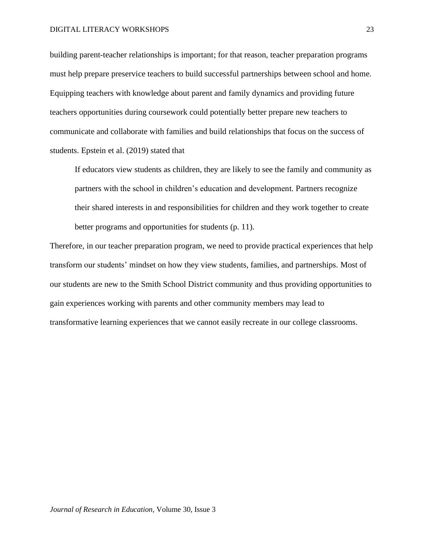building parent-teacher relationships is important; for that reason, teacher preparation programs must help prepare preservice teachers to build successful partnerships between school and home. Equipping teachers with knowledge about parent and family dynamics and providing future teachers opportunities during coursework could potentially better prepare new teachers to communicate and collaborate with families and build relationships that focus on the success of students. Epstein et al. (2019) stated that

If educators view students as children, they are likely to see the family and community as partners with the school in children's education and development. Partners recognize their shared interests in and responsibilities for children and they work together to create better programs and opportunities for students (p. 11).

Therefore, in our teacher preparation program, we need to provide practical experiences that help transform our students' mindset on how they view students, families, and partnerships. Most of our students are new to the Smith School District community and thus providing opportunities to gain experiences working with parents and other community members may lead to transformative learning experiences that we cannot easily recreate in our college classrooms.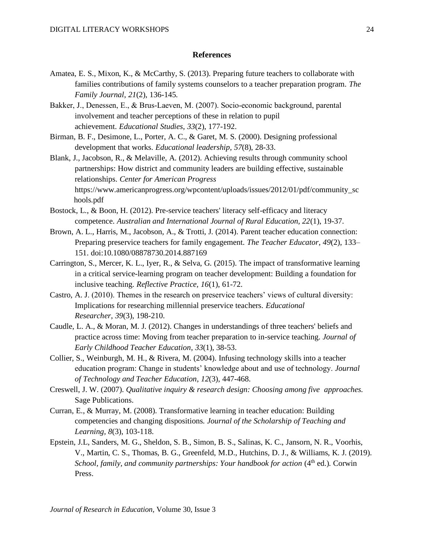# **References**

- Amatea, E. S., Mixon, K., & McCarthy, S. (2013). Preparing future teachers to collaborate with families contributions of family systems counselors to a teacher preparation program. *The Family Journal*, *21*(2), 136-145.
- Bakker, J., Denessen, E., & Brus‐Laeven, M. (2007). Socio‐economic background, parental involvement and teacher perceptions of these in relation to pupil achievement. *Educational Studies*, *33*(2), 177-192.
- Birman, B. F., Desimone, L., Porter, A. C., & Garet, M. S. (2000). Designing professional development that works. *Educational leadership, 57*(8), 28-33.
- Blank, J., Jacobson, R., & Melaville, A. (2012). Achieving results through community school partnerships: How district and community leaders are building effective, sustainable relationships. *Center for American Progress* https://www.americanprogress.org/wpcontent/uploads/issues/2012/01/pdf/community\_sc hools.pdf
- Bostock, L., & Boon, H. (2012). Pre-service teachers' literacy self-efficacy and literacy competence. *Australian and International Journal of Rural Education, 22*(1), 19-37.
- Brown, A. L., Harris, M., Jacobson, A., & Trotti, J. (2014). Parent teacher education connection: Preparing preservice teachers for family engagement. *The Teacher Educator, 49*(2), 133– 151. doi:10.1080/08878730.2014.887169
- Carrington, S., Mercer, K. L., Iyer, R., & Selva, G. (2015). The impact of transformative learning in a critical service-learning program on teacher development: Building a foundation for inclusive teaching. *Reflective Practice, 16*(1), 61-72.
- Castro, A. J. (2010). Themes in the research on preservice teachers' views of cultural diversity: Implications for researching millennial preservice teachers. *Educational Researcher*, *39*(3), 198-210.
- Caudle, L. A., & Moran, M. J. (2012). Changes in understandings of three teachers' beliefs and practice across time: Moving from teacher preparation to in-service teaching. *Journal of Early Childhood Teacher Education*, *33*(1), 38-53.
- Collier, S., Weinburgh, M. H., & Rivera, M. (2004). Infusing technology skills into a teacher education program: Change in students' knowledge about and use of technology. *Journal of Technology and Teacher Education*, *12*(3), 447-468.
- Creswell, J. W. (2007). *Qualitative inquiry & research design: Choosing among five approaches.* Sage Publications.
- Curran, E., & Murray, M. (2008). Transformative learning in teacher education: Building competencies and changing dispositions. *Journal of the Scholarship of Teaching and Learning, 8*(3), 103-118.
- Epstein, J.L, Sanders, M. G., Sheldon, S. B., Simon, B. S., Salinas, K. C., Jansorn, N. R., Voorhis, V., Martin, C. S., Thomas, B. G., Greenfeld, M.D., Hutchins, D. J., & Williams, K. J. (2019). *School, family, and community partnerships: Your handbook for action* (4<sup>th</sup> ed.). Corwin Press.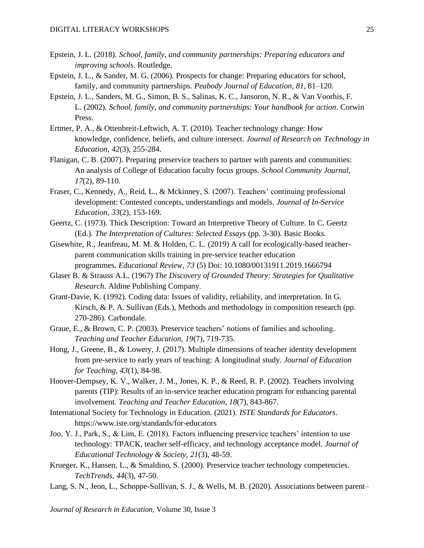- Epstein, J. L. (2018). *School, family, and community partnerships: Preparing educators and improving schools*. Routledge.
- Epstein, J. L., & Sander, M. G. (2006). Prospects for change: Preparing educators for school, family, and community partnerships. *Peabody Journal of Education, 81*, 81–120.
- Epstein, J. L., Sanders, M. G., Simon, B. S., Salinas, K. C., Jansoron, N. R., & Van Voorhis, F. L. (2002). *School, family, and community partnerships: Your handbook for action*. Corwin Press.
- Ertmer, P. A., & Ottenbreit-Leftwich, A. T. (2010). Teacher technology change: How knowledge, confidence, beliefs, and culture intersect. *Journal of Research on Technology in Education*, *42*(3), 255-284.
- Flanigan, C. B. (2007). Preparing preservice teachers to partner with parents and communities: An analysis of College of Education faculty focus groups. *School Community Journal, 17*(2), 89-110.
- Fraser, C., Kennedy, A., Reid, L., & Mckinney, S. (2007). Teachers' continuing professional development: Contested concepts, understandings and models. *Journal of In-Service Education*, *33*(2), 153-169.
- Geertz, C. (1973). Thick Description: Toward an Interpretive Theory of Culture. In C. Geertz (Ed.). *The Interpretation of Cultures: Selected Essays* (pp. 3-30). Basic Books.
- Gisewhite, R., Jeanfreau, M. M. & Holden, C. L. (2019) A call for ecologically-based teacherparent communication skills training in pre-service teacher education programmes, *Educational Review*, *73* (5) Doi: [10.1080/00131911.2019.1666794](https://doi.org/10.1080/00131911.2019.1666794)
- Glaser B. & Strauss A.L. (1967) *The Discovery of Grounded Theory: Strategies for Qualitative Research.* Aldine Publishing Company.
- Grant-Davie, K. (1992). Coding data: Issues of validity, reliability, and interpretation. In G. Kirsch, & P. A. Sullivan (Eds.), Methods and methodology in composition research (pp. 270-286). Carbondale.
- Graue, E., & Brown, C. P. (2003). Preservice teachers' notions of families and schooling. *Teaching and Teacher Education, 19*(7), 719-735.
- Hong, J., Greene, B., & Lowery, J. (2017). Multiple dimensions of teacher identity development from pre-service to early years of teaching: A longitudinal study. *Journal of Education for Teaching, 43*(1), 84-98.
- Hoover-Dempsey, K. V., Walker, J. M., Jones, K. P., & Reed, R. P. (2002). Teachers involving parents (TIP): Results of an in-service teacher education program for enhancing parental involvement. *Teaching and Teacher Education*, *18*(7), 843-867.
- International Society for Technology in Education. (2021). *ISTE Standards for Educators*. https://www.iste.org/standards/for-educators
- Joo, Y. J., Park, S., & Lim, E. (2018). Factors influencing preservice teachers' intention to use technology: TPACK, teacher self-efficacy, and technology acceptance model. *Journal of Educational Technology & Society*, *21*(3), 48-59.
- Krueger, K., Hansen, L., & Smaldino, S. (2000). Preservice teacher technology competencies. *TechTrends*, *44*(3), 47-50.
- Lang, S. N., Jeon, L., Schoppe-Sullivan, S. J., & Wells, M. B. (2020). Associations between parent–

*Journal of Research in Education,* Volume 30, Issue 3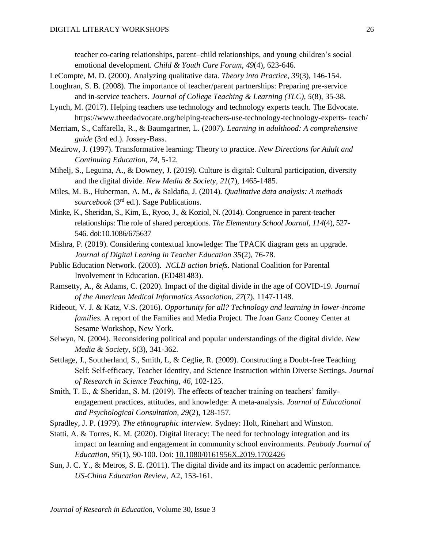teacher co-caring relationships, parent–child relationships, and young children's social emotional development. *Child & Youth Care Forum, 49*(4), 623-646.

- LeCompte, M. D. (2000). Analyzing qualitative data. *Theory into Practice, 39*(3), 146-154.
- Loughran, S. B. (2008). The importance of teacher/parent partnerships: Preparing pre-service and in-service teachers. *Journal of College Teaching & Learning (TLC), 5*(8), 35-38.
- Lynch, M. (2017). Helping teachers use technology and technology experts teach. The Edvocate. https://www.theedadvocate.org/helping-teachers-use-technology-technology-experts- teach/
- Merriam, S., Caffarella, R., & Baumgartner, L. (2007). *Learning in adulthood: A comprehensive guide* (3rd ed.). Jossey-Bass.
- Mezirow, J. (1997). Transformative learning: Theory to practice. *New Directions for Adult and Continuing Education, 74*, 5-12.
- Mihelj, S., Leguina, A., & Downey, J. (2019). Culture is digital: Cultural participation, diversity and the digital divide. *New Media & Society*, *21*(7), 1465-1485.
- Miles, M. B., Huberman, A. M., & Saldaña, J. (2014). *Qualitative data analysis: A methods*  sourcebook (3<sup>rd</sup> ed.). Sage Publications.
- Minke, K., Sheridan, S., Kim, E., Ryoo, J., & Koziol, N. (2014). Congruence in parent-teacher relationships: The role of shared perceptions. *The Elementary School Journal, 114*(4), 527- 546. doi:10.1086/675637
- Mishra, P. (2019). Considering contextual knowledge: The TPACK diagram gets an upgrade. *Journal of Digital Leaning in Teacher Education 35*(2), 76-78.
- Public Education Network. (2003). *NCLB action briefs*. National Coalition for Parental Involvement in Education. (ED481483).
- Ramsetty, A., & Adams, C. (2020). Impact of the digital divide in the age of COVID-19. *Journal of the American Medical Informatics Association*, *27*(7), 1147-1148.
- Rideout, V. J. & Katz, V.S. (2016). *Opportunity for all? Technology and learning in lower-income families.* A report of the Families and Media Project. The Joan Ganz Cooney Center at Sesame Workshop, New York.
- Selwyn, N. (2004). Reconsidering political and popular understandings of the digital divide. *New Media & Society*, *6*(3), 341-362.
- Settlage, J., Southerland, S., Smith, L, & Ceglie, R. (2009). Constructing a Doubt-free Teaching Self: Self-efficacy, Teacher Identity, and Science Instruction within Diverse Settings. *Journal of Research in Science Teaching, 46*, 102-125.
- Smith, T. E., & Sheridan, S. M. (2019). The effects of teacher training on teachers' familyengagement practices, attitudes, and knowledge: A meta-analysis. *Journal of Educational and Psychological Consultation, 29*(2), 128-157.
- Spradley, J. P. (1979). *The ethnographic interview*. Sydney: Holt, Rinehart and Winston.
- Statti, A. & Torres, K. M. (2020). Digital literacy: The need for technology integration and its impact on learning and engagement in community school environments. *Peabody Journal of Education, 95*(1), 90-100. Doi: [10.1080/0161956X.2019.1702426](https://doi.org/10.1080/0161956X.2019.1702426)
- Sun, J. C. Y., & Metros, S. E. (2011). The digital divide and its impact on academic performance. *US-China Education Review,* A2, 153-161.